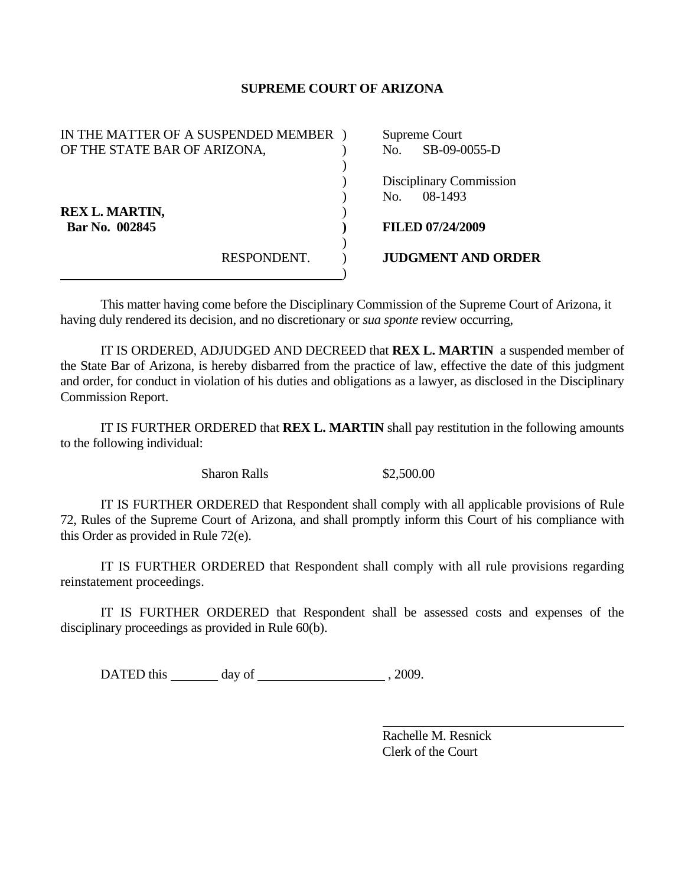## **SUPREME COURT OF ARIZONA**

| IN THE MATTER OF A SUSPENDED MEMBER |             | Supreme Court  |                           |
|-------------------------------------|-------------|----------------|---------------------------|
| OF THE STATE BAR OF ARIZONA,        |             | No.            | SB-09-0055-D              |
|                                     |             |                |                           |
|                                     |             |                | Disciplinary Commission   |
|                                     |             | N <sub>O</sub> | 08-1493                   |
| <b>REX L. MARTIN,</b>               |             |                |                           |
| Bar No. 002845                      |             |                | <b>FILED 07/24/2009</b>   |
|                                     |             |                |                           |
|                                     | RESPONDENT. |                | <b>JUDGMENT AND ORDER</b> |
|                                     |             |                |                           |

This matter having come before the Disciplinary Commission of the Supreme Court of Arizona, it having duly rendered its decision, and no discretionary or *sua sponte* review occurring,

 IT IS ORDERED, ADJUDGED AND DECREED that **REX L. MARTIN** a suspended member of the State Bar of Arizona, is hereby disbarred from the practice of law, effective the date of this judgment and order, for conduct in violation of his duties and obligations as a lawyer, as disclosed in the Disciplinary Commission Report.

 IT IS FURTHER ORDERED that **REX L. MARTIN** shall pay restitution in the following amounts to the following individual:

Sharon Ralls  $$2,500.00$ 

 IT IS FURTHER ORDERED that Respondent shall comply with all applicable provisions of Rule 72, Rules of the Supreme Court of Arizona, and shall promptly inform this Court of his compliance with this Order as provided in Rule 72(e).

 IT IS FURTHER ORDERED that Respondent shall comply with all rule provisions regarding reinstatement proceedings.

 IT IS FURTHER ORDERED that Respondent shall be assessed costs and expenses of the disciplinary proceedings as provided in Rule 60(b).

DATED this day of , 2009.

 Rachelle M. Resnick Clerk of the Court